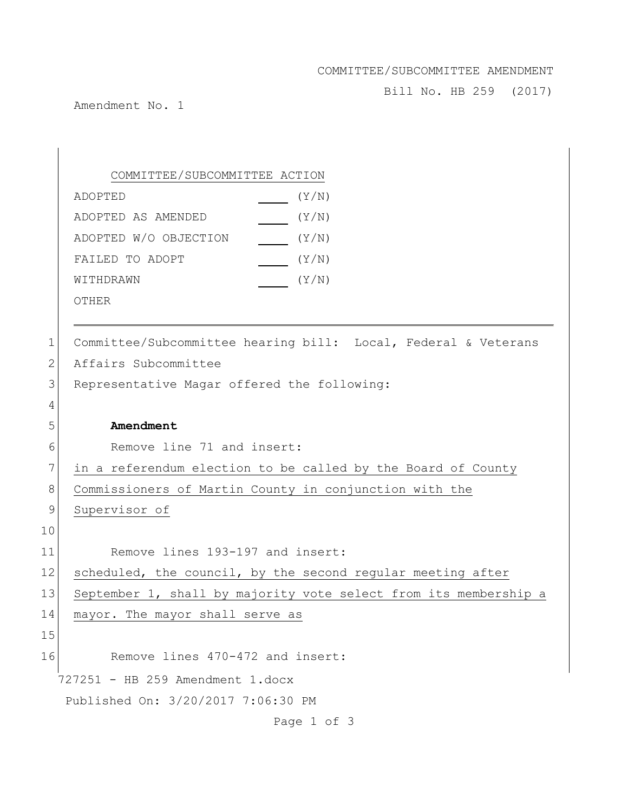## COMMITTEE/SUBCOMMITTEE AMENDMENT

Bill No. HB 259 (2017)

Amendment No. 1

727251 - HB 259 Amendment 1.docx Published On: 3/20/2017 7:06:30 PM Page 1 of 3 COMMITTEE/SUBCOMMITTEE ACTION ADOPTED(Y/N) ADOPTED AS AMENDED(Y/N) ADOPTED W/O OBJECTION \_\_\_\_\_\_ (Y/N) FAILED TO ADOPT  $\sqrt{Y/N}$ WITHDRAWN  $(Y/N)$ OTHER 1 Committee/Subcommittee hearing bill: Local, Federal & Veterans 2 Affairs Subcommittee 3 Representative Magar offered the following: 4 5 **Amendment** 6 Remove line 71 and insert: 7 in a referendum election to be called by the Board of County 8 Commissioners of Martin County in conjunction with the 9 Supervisor of 10 11 Remove lines 193-197 and insert: 12 scheduled, the council, by the second regular meeting after 13 September 1, shall by majority vote select from its membership a 14 mayor. The mayor shall serve as 15 16 Remove lines 470-472 and insert: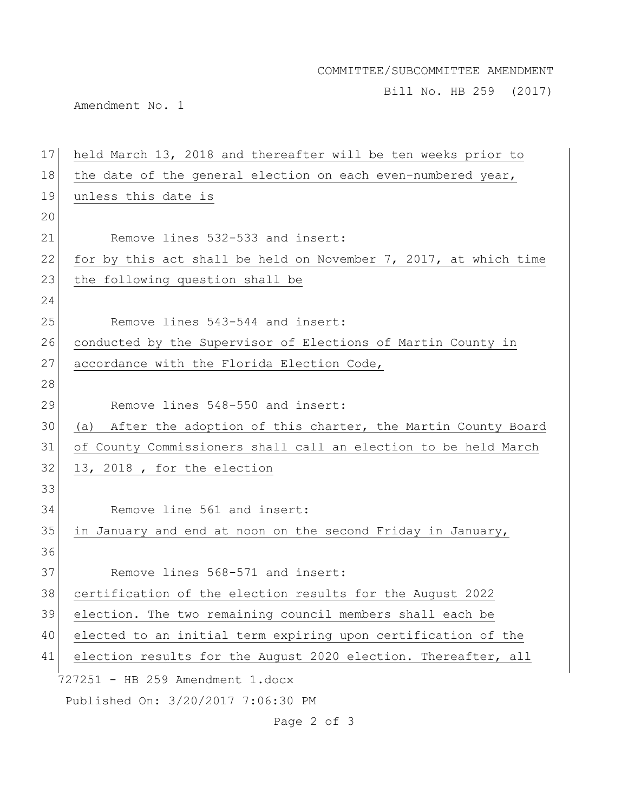## COMMITTEE/SUBCOMMITTEE AMENDMENT

Bill No. HB 259 (2017)

Amendment No. 1

| 17 | held March 13, 2018 and thereafter will be ten weeks prior to    |
|----|------------------------------------------------------------------|
| 18 | the date of the general election on each even-numbered year,     |
| 19 | unless this date is                                              |
| 20 |                                                                  |
| 21 | Remove lines 532-533 and insert:                                 |
| 22 | for by this act shall be held on November 7, 2017, at which time |
| 23 | the following question shall be                                  |
| 24 |                                                                  |
| 25 | Remove lines 543-544 and insert:                                 |
| 26 | conducted by the Supervisor of Elections of Martin County in     |
| 27 | accordance with the Florida Election Code,                       |
| 28 |                                                                  |
| 29 | Remove lines 548-550 and insert:                                 |
| 30 | (a) After the adoption of this charter, the Martin County Board  |
| 31 | of County Commissioners shall call an election to be held March  |
| 32 | 13, 2018, for the election                                       |
| 33 |                                                                  |
| 34 | Remove line 561 and insert:                                      |
| 35 | in January and end at noon on the second Friday in January,      |
| 36 |                                                                  |
| 37 | Remove lines 568-571 and insert:                                 |
| 38 | certification of the election results for the August 2022        |
| 39 | election. The two remaining council members shall each be        |
| 40 | elected to an initial term expiring upon certification of the    |
| 41 | election results for the August 2020 election. Thereafter, all   |
|    | 727251 - HB 259 Amendment 1.docx                                 |
|    | Published On: 3/20/2017 7:06:30 PM                               |
|    | Page 2 of 3                                                      |